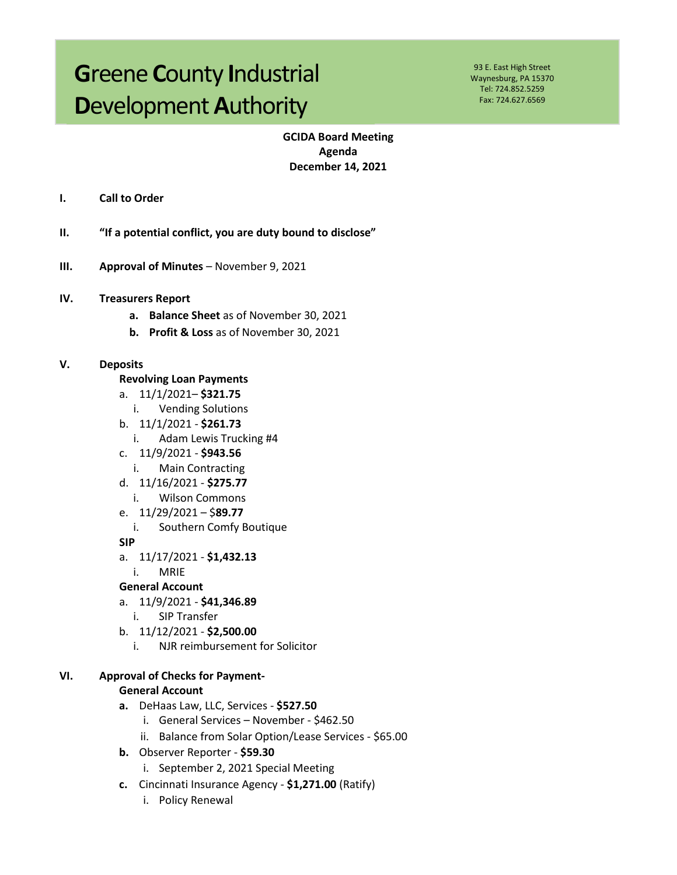# **G**reene **C**ounty **I**ndustrial **D**evelopment **A**uthority

93 E. East High Street Waynesburg, PA 15370 Tel: 724.852.5259 Fax: 724.627.6569

## **GCIDA Board Meeting Agenda December 14, 2021**

- **I. Call to Order**
- **II. "If a potential conflict, you are duty bound to disclose"**
- **III. Approval of Minutes** November 9, 2021
- **IV. Treasurers Report**
	- **a. Balance Sheet** as of November 30, 2021
	- **b. Profit & Loss** as of November 30, 2021

#### **V. Deposits**

- **Revolving Loan Payments**
- a. 11/1/2021– **\$321.75**
	- i. Vending Solutions
- b. 11/1/2021 **\$261.73**
	- i. Adam Lewis Trucking #4
- c. 11/9/2021 **\$943.56**
	- i. Main Contracting
- d. 11/16/2021 **\$275.77**
	- i. Wilson Commons
- e. 11/29/2021 \$**89.77**
- i. Southern Comfy Boutique
- **SIP**
- a. 11/17/2021 **\$1,432.13**
	- i. MRIE

#### **General Account**

- a. 11/9/2021 **\$41,346.89**
	- i. SIP Transfer
- b. 11/12/2021 **\$2,500.00**
	- i. NJR reimbursement for Solicitor

#### **VI. Approval of Checks for Payment-**

#### **General Account**

- **a.** DeHaas Law, LLC, Services **\$527.50** 
	- i. General Services November \$462.50
	- ii. Balance from Solar Option/Lease Services \$65.00
- **b.** Observer Reporter **\$59.30**
	- i. September 2, 2021 Special Meeting
- **c.** Cincinnati Insurance Agency **\$1,271.00** (Ratify)
	- i. Policy Renewal